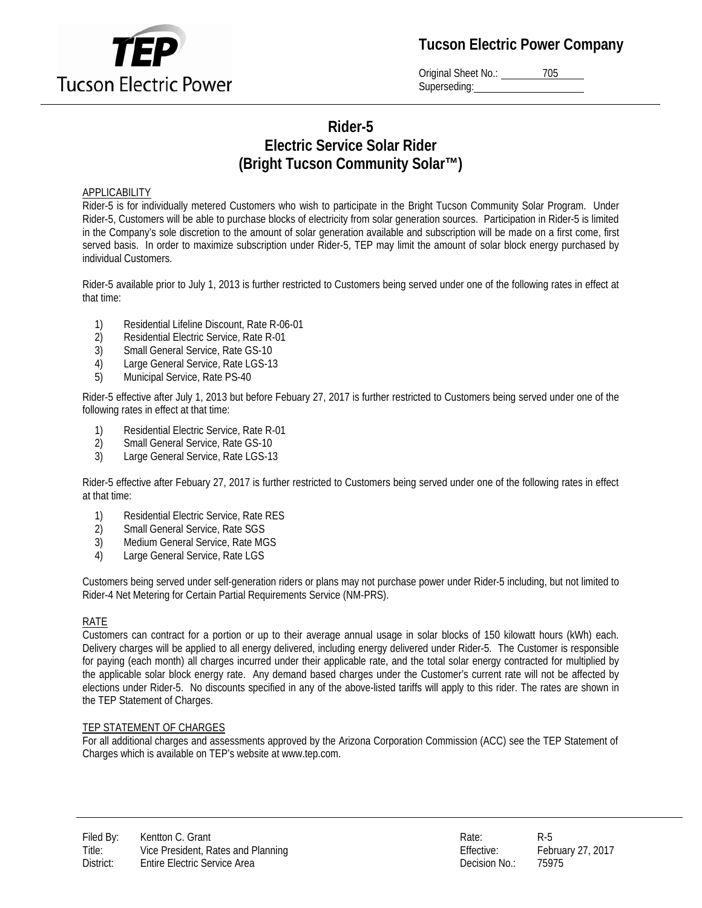

**Tucson Electric Power Company**

Original Sheet No.: 205 Superseding:

# **Rider-5 Electric Service Solar Rider (Bright Tucson Community Solar™)**

#### **APPLICABILITY**

Rider-5 is for individually metered Customers who wish to participate in the Bright Tucson Community Solar Program. Under Rider-5, Customers will be able to purchase blocks of electricity from solar generation sources. Participation in Rider-5 is limited in the Company's sole discretion to the amount of solar generation available and subscription will be made on a first come, first served basis. In order to maximize subscription under Rider-5, TEP may limit the amount of solar block energy purchased by individual Customers.

Rider-5 available prior to July 1, 2013 is further restricted to Customers being served under one of the following rates in effect at that time:

- 1) Residential Lifeline Discount, Rate R-06-01
- 2) Residential Electric Service, Rate R-01
- 3) Small General Service, Rate GS-10
- 4) Large General Service, Rate LGS-13
- 5) Municipal Service, Rate PS-40

Rider-5 effective after July 1, 2013 but before Febuary 27, 2017 is further restricted to Customers being served under one of the following rates in effect at that time:

- 1) Residential Electric Service, Rate R-01<br>2) Small General Service, Rate GS-10
- 2) Small General Service, Rate GS-10<br>3) Large General Service, Rate LGS-13
- Large General Service, Rate LGS-13

Rider-5 effective after Febuary 27, 2017 is further restricted to Customers being served under one of the following rates in effect at that time:

- 1) Residential Electric Service, Rate RES
- 2) Small General Service, Rate SGS
- 3) Medium General Service, Rate MGS
- 4) Large General Service, Rate LGS

Customers being served under self-generation riders or plans may not purchase power under Rider-5 including, but not limited to Rider-4 Net Metering for Certain Partial Requirements Service (NM-PRS).

#### RATE

Customers can contract for a portion or up to their average annual usage in solar blocks of 150 kilowatt hours (kWh) each. Delivery charges will be applied to all energy delivered, including energy delivered under Rider-5. The Customer is responsible for paying (each month) all charges incurred under their applicable rate, and the total solar energy contracted for multiplied by the applicable solar block energy rate. Any demand based charges under the Customer's current rate will not be affected by elections under Rider-5. No discounts specified in any of the above-listed tariffs will apply to this rider. The rates are shown in the TEP Statement of Charges.

#### TEP STATEMENT OF CHARGES

For all additional charges and assessments approved by the Arizona Corporation Commission (ACC) see the TEP Statement of Charges which is available on TEP's website at www.tep.com.